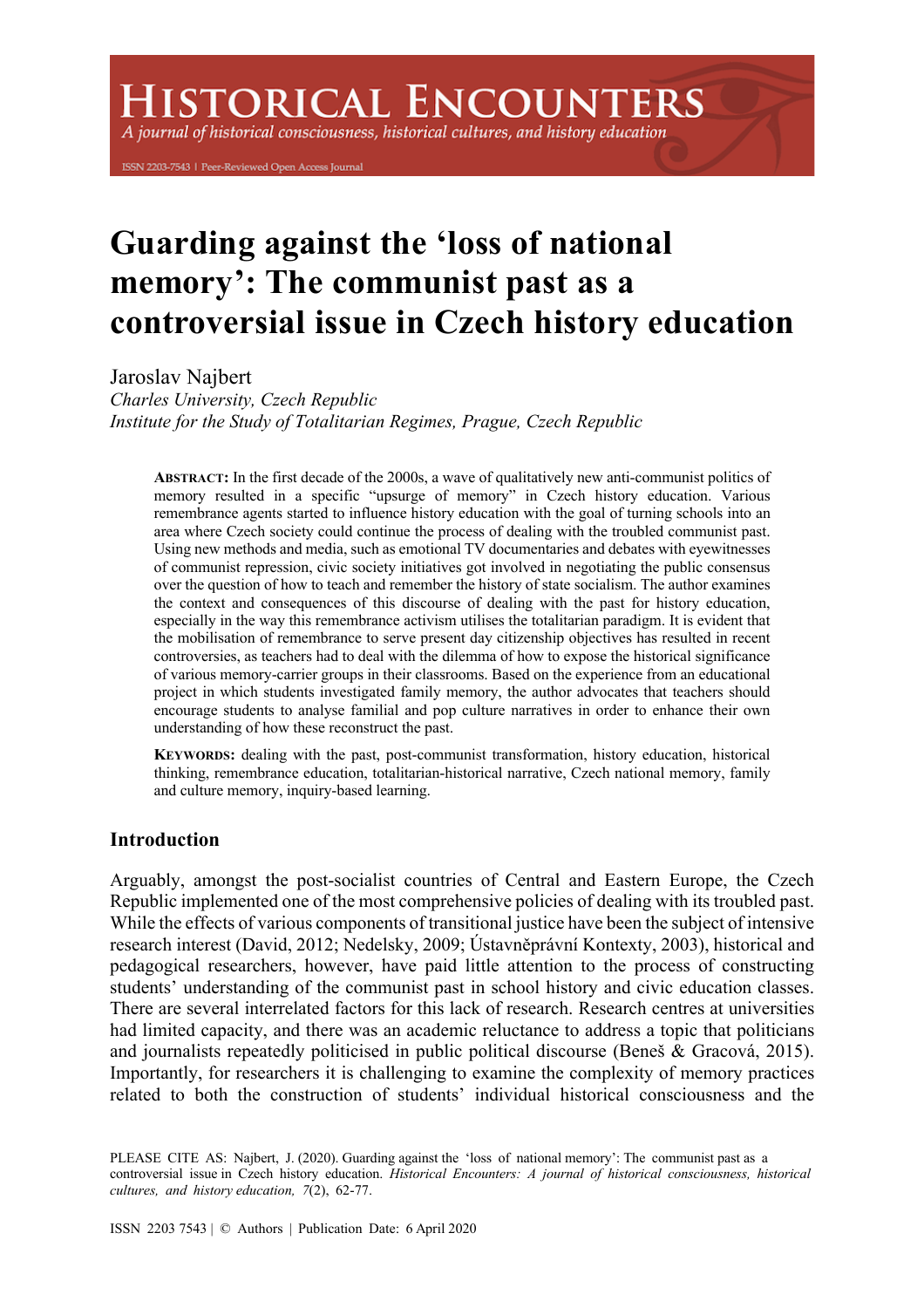# **HISTORICAL ENCOUNTERS**

A journal of historical consciousness, historical cultures, and history education

ISSN 2203-7543 | Peer-Reviewed Open Access Journal

# **Guarding against the 'loss of national memory': The communist past as a controversial issue in Czech history education**

Jaroslav Najbert

*Charles University, Czech Republic Institute for the Study of Totalitarian Regimes, Prague, Czech Republic*

**ABSTRACT:** In the first decade of the 2000s, a wave of qualitatively new anti-communist politics of memory resulted in a specific "upsurge of memory" in Czech history education. Various remembrance agents started to influence history education with the goal of turning schools into an area where Czech society could continue the process of dealing with the troubled communist past. Using new methods and media, such as emotional TV documentaries and debates with eyewitnesses of communist repression, civic society initiatives got involved in negotiating the public consensus over the question of how to teach and remember the history of state socialism. The author examines the context and consequences of this discourse of dealing with the past for history education, especially in the way this remembrance activism utilises the totalitarian paradigm. It is evident that the mobilisation of remembrance to serve present day citizenship objectives has resulted in recent controversies, as teachers had to deal with the dilemma of how to expose the historical significance of various memory-carrier groups in their classrooms. Based on the experience from an educational project in which students investigated family memory, the author advocates that teachers should encourage students to analyse familial and pop culture narratives in order to enhance their own understanding of how these reconstruct the past.

**KEYWORDS:** dealing with the past, post-communist transformation, history education, historical thinking, remembrance education, totalitarian-historical narrative, Czech national memory, family and culture memory, inquiry-based learning.

# **Introduction**

Arguably, amongst the post-socialist countries of Central and Eastern Europe, the Czech Republic implemented one of the most comprehensive policies of dealing with its troubled past. While the effects of various components of transitional justice have been the subject of intensive research interest (David, 2012; Nedelsky, 2009; Ústavněprávní Kontexty, 2003), historical and pedagogical researchers, however, have paid little attention to the process of constructing students' understanding of the communist past in school history and civic education classes. There are several interrelated factors for this lack of research. Research centres at universities had limited capacity, and there was an academic reluctance to address a topic that politicians and journalists repeatedly politicised in public political discourse (Beneš & Gracová, 2015). Importantly, for researchers it is challenging to examine the complexity of memory practices related to both the construction of students' individual historical consciousness and the

PLEASE CITE AS: Najbert, J. (2020). Guarding against the 'loss of national memory': The communist past as a controversial issue in Czech history education. *Historical Encounters: A journal of historical consciousness, historical cultures, and history education, 7*(2), 62-77.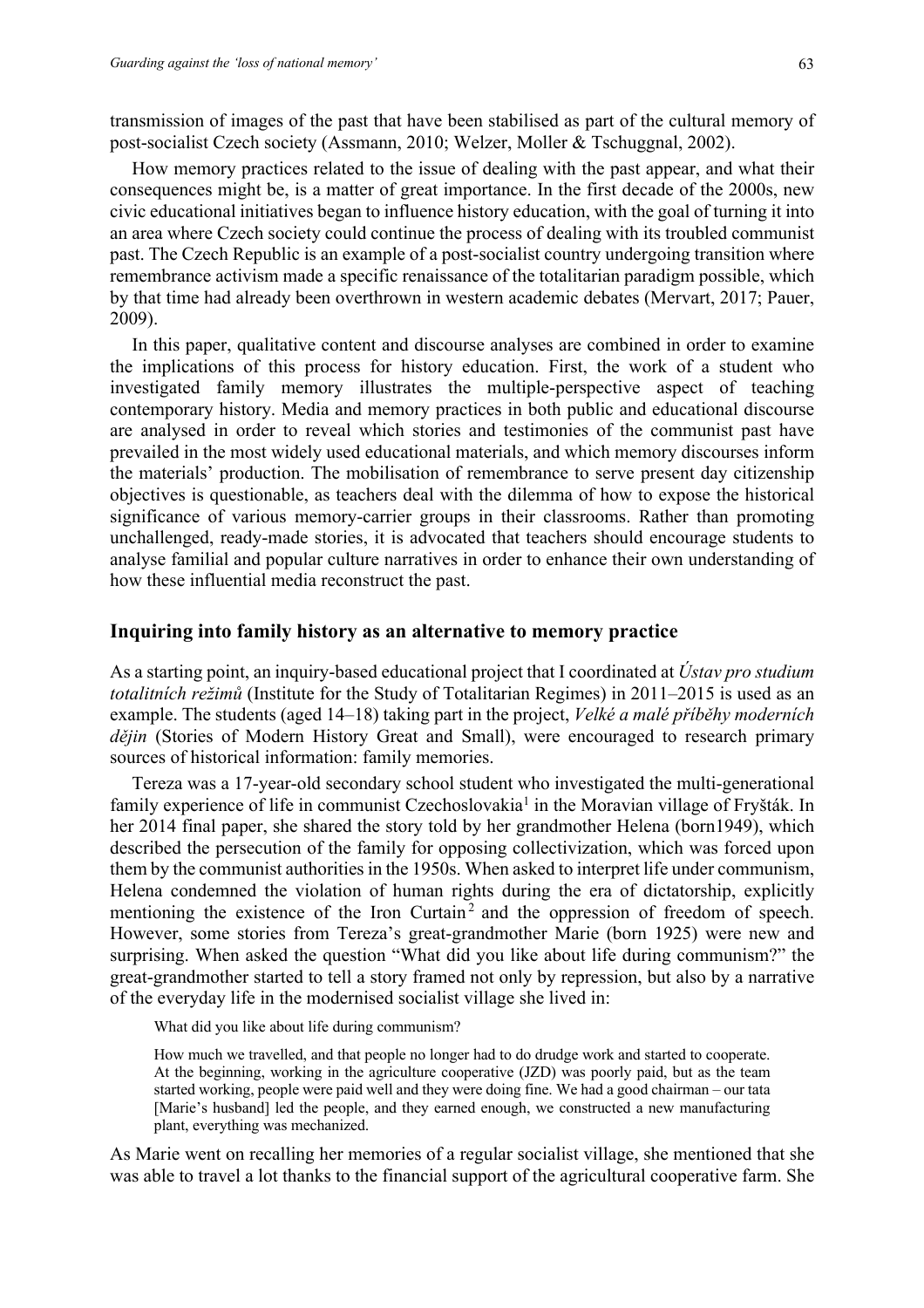transmission of images of the past that have been stabilised as part of the cultural memory of post-socialist Czech society (Assmann, 2010; Welzer, Moller & Tschuggnal, 2002).

How memory practices related to the issue of dealing with the past appear, and what their consequences might be, is a matter of great importance. In the first decade of the 2000s, new civic educational initiatives began to influence history education, with the goal of turning it into an area where Czech society could continue the process of dealing with its troubled communist past. The Czech Republic is an example of a post-socialist country undergoing transition where remembrance activism made a specific renaissance of the totalitarian paradigm possible, which by that time had already been overthrown in western academic debates (Mervart, 2017; Pauer, 2009).

In this paper, qualitative content and discourse analyses are combined in order to examine the implications of this process for history education. First, the work of a student who investigated family memory illustrates the multiple-perspective aspect of teaching contemporary history. Media and memory practices in both public and educational discourse are analysed in order to reveal which stories and testimonies of the communist past have prevailed in the most widely used educational materials, and which memory discourses inform the materials' production. The mobilisation of remembrance to serve present day citizenship objectives is questionable, as teachers deal with the dilemma of how to expose the historical significance of various memory-carrier groups in their classrooms. Rather than promoting unchallenged, ready-made stories, it is advocated that teachers should encourage students to analyse familial and popular culture narratives in order to enhance their own understanding of how these influential media reconstruct the past.

#### **Inquiring into family history as an alternative to memory practice**

As a starting point, an inquiry-based educational project that I coordinated at *Ústav pro studium totalitních režimů* (Institute for the Study of Totalitarian Regimes) in 2011–2015 is used as an example. The students (aged 14–18) taking part in the project, *Velké a malé příběhy moderních dějin* (Stories of Modern History Great and Small), were encouraged to research primary sources of historical information: family memories.

Tereza was a 17-year-old secondary school student who investigated the multi-generational family experience of life in communist Czechoslovakia<sup>1</sup> in the Moravian village of Fryšták. In her 2014 final paper, she shared the story told by her grandmother Helena (born1949), which described the persecution of the family for opposing collectivization, which was forced upon them by the communist authorities in the 1950s. When asked to interpret life under communism, Helena condemned the violation of human rights during the era of dictatorship, explicitly mentioning the existence of the Iron Curtain<sup>2</sup> and the oppression of freedom of speech. However, some stories from Tereza's great-grandmother Marie (born 1925) were new and surprising. When asked the question "What did you like about life during communism?" the great-grandmother started to tell a story framed not only by repression, but also by a narrative of the everyday life in the modernised socialist village she lived in:

What did you like about life during communism?

How much we travelled, and that people no longer had to do drudge work and started to cooperate. At the beginning, working in the agriculture cooperative (JZD) was poorly paid, but as the team started working, people were paid well and they were doing fine. We had a good chairman – our tata [Marie's husband] led the people, and they earned enough, we constructed a new manufacturing plant, everything was mechanized.

As Marie went on recalling her memories of a regular socialist village, she mentioned that she was able to travel a lot thanks to the financial support of the agricultural cooperative farm. She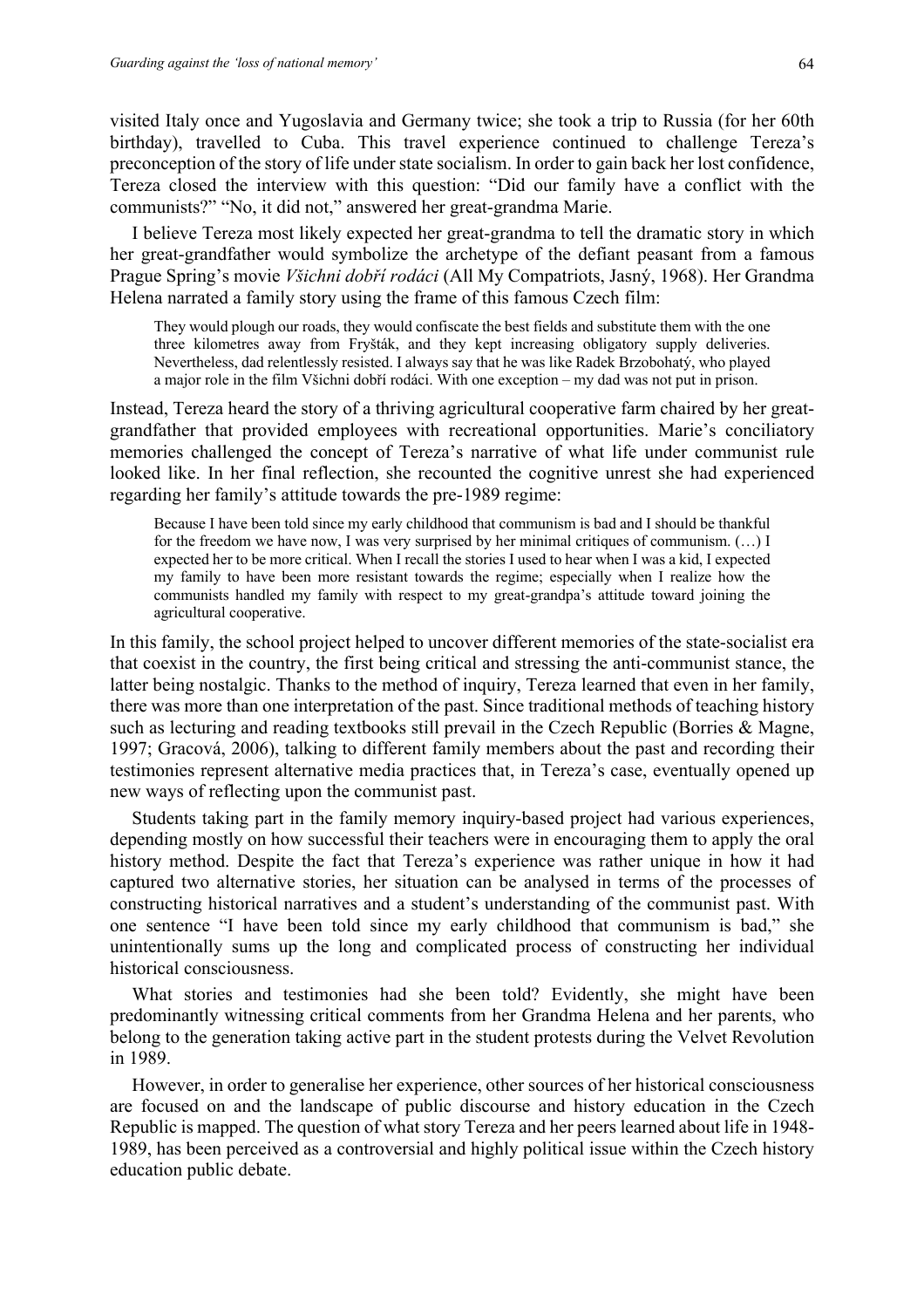visited Italy once and Yugoslavia and Germany twice; she took a trip to Russia (for her 60th birthday), travelled to Cuba. This travel experience continued to challenge Tereza's preconception of the story of life under state socialism. In order to gain back her lost confidence, Tereza closed the interview with this question: "Did our family have a conflict with the communists?" "No, it did not," answered her great-grandma Marie.

I believe Tereza most likely expected her great-grandma to tell the dramatic story in which her great-grandfather would symbolize the archetype of the defiant peasant from a famous Prague Spring's movie *Všichni dobří rodáci* (All My Compatriots, Jasný, 1968). Her Grandma Helena narrated a family story using the frame of this famous Czech film:

They would plough our roads, they would confiscate the best fields and substitute them with the one three kilometres away from Fryšták, and they kept increasing obligatory supply deliveries. Nevertheless, dad relentlessly resisted. I always say that he was like Radek Brzobohatý, who played a major role in the film Všichni dobří rodáci. With one exception – my dad was not put in prison.

Instead, Tereza heard the story of a thriving agricultural cooperative farm chaired by her greatgrandfather that provided employees with recreational opportunities. Marie's conciliatory memories challenged the concept of Tereza's narrative of what life under communist rule looked like. In her final reflection, she recounted the cognitive unrest she had experienced regarding her family's attitude towards the pre-1989 regime:

Because I have been told since my early childhood that communism is bad and I should be thankful for the freedom we have now, I was very surprised by her minimal critiques of communism. (…) I expected her to be more critical. When I recall the stories I used to hear when I was a kid, I expected my family to have been more resistant towards the regime; especially when I realize how the communists handled my family with respect to my great-grandpa's attitude toward joining the agricultural cooperative.

In this family, the school project helped to uncover different memories of the state-socialist era that coexist in the country, the first being critical and stressing the anti-communist stance, the latter being nostalgic. Thanks to the method of inquiry, Tereza learned that even in her family, there was more than one interpretation of the past. Since traditional methods of teaching history such as lecturing and reading textbooks still prevail in the Czech Republic (Borries & Magne, 1997; Gracová, 2006), talking to different family members about the past and recording their testimonies represent alternative media practices that, in Tereza's case, eventually opened up new ways of reflecting upon the communist past.

Students taking part in the family memory inquiry-based project had various experiences, depending mostly on how successful their teachers were in encouraging them to apply the oral history method. Despite the fact that Tereza's experience was rather unique in how it had captured two alternative stories, her situation can be analysed in terms of the processes of constructing historical narratives and a student's understanding of the communist past. With one sentence "I have been told since my early childhood that communism is bad," she unintentionally sums up the long and complicated process of constructing her individual historical consciousness.

What stories and testimonies had she been told? Evidently, she might have been predominantly witnessing critical comments from her Grandma Helena and her parents, who belong to the generation taking active part in the student protests during the Velvet Revolution in 1989.

However, in order to generalise her experience, other sources of her historical consciousness are focused on and the landscape of public discourse and history education in the Czech Republic is mapped. The question of what story Tereza and her peers learned about life in 1948- 1989, has been perceived as a controversial and highly political issue within the Czech history education public debate.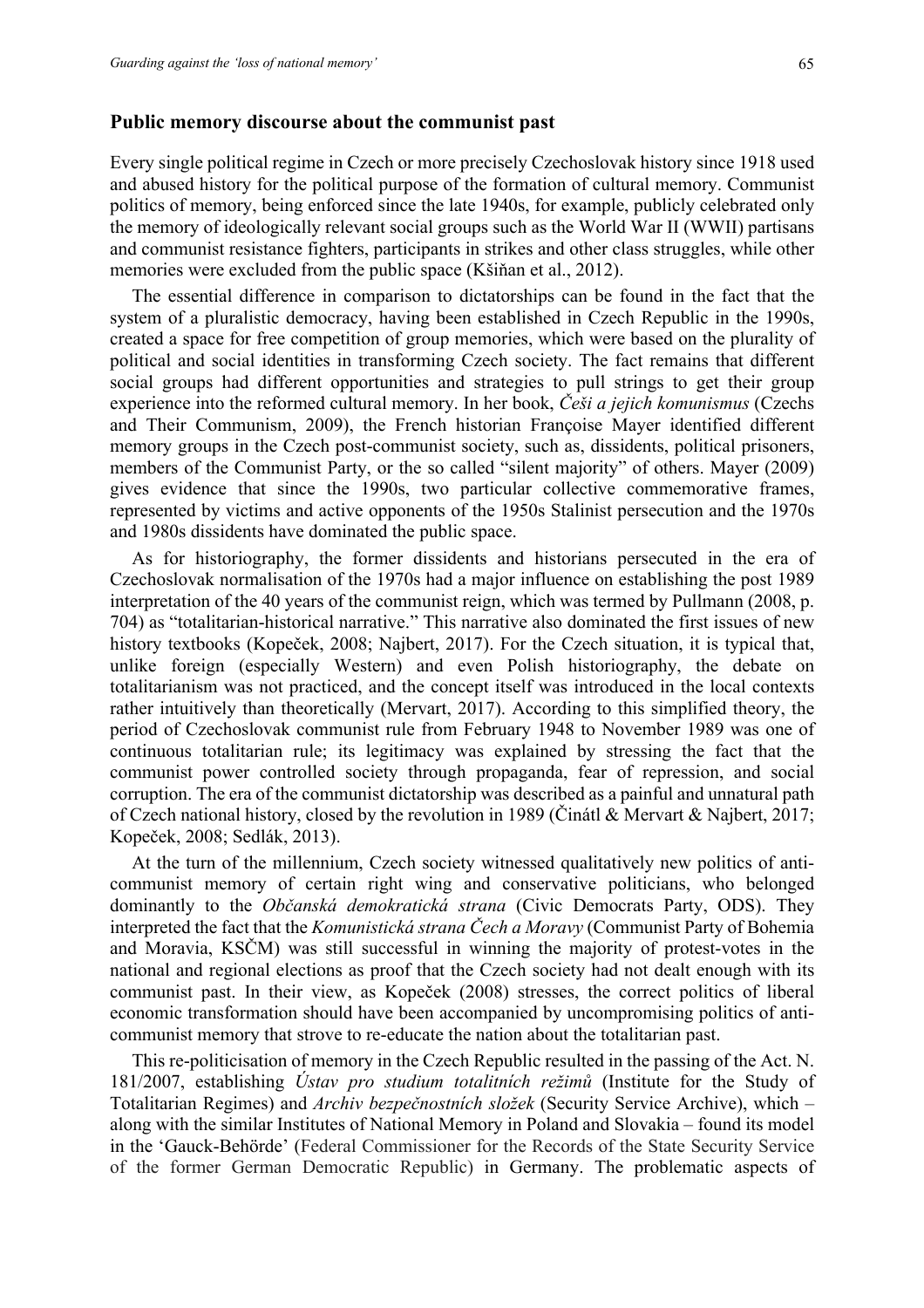#### **Public memory discourse about the communist past**

Every single political regime in Czech or more precisely Czechoslovak history since 1918 used and abused history for the political purpose of the formation of cultural memory. Communist politics of memory, being enforced since the late 1940s, for example, publicly celebrated only the memory of ideologically relevant social groups such as the World War II (WWII) partisans and communist resistance fighters, participants in strikes and other class struggles, while other memories were excluded from the public space (Kšiňan et al., 2012).

The essential difference in comparison to dictatorships can be found in the fact that the system of a pluralistic democracy, having been established in Czech Republic in the 1990s, created a space for free competition of group memories, which were based on the plurality of political and social identities in transforming Czech society. The fact remains that different social groups had different opportunities and strategies to pull strings to get their group experience into the reformed cultural memory. In her book, *Češi a jejich komunismus* (Czechs and Their Communism, 2009), the French historian Françoise Mayer identified different memory groups in the Czech post-communist society, such as, dissidents, political prisoners, members of the Communist Party, or the so called "silent majority" of others. Mayer (2009) gives evidence that since the 1990s, two particular collective commemorative frames, represented by victims and active opponents of the 1950s Stalinist persecution and the 1970s and 1980s dissidents have dominated the public space.

As for historiography, the former dissidents and historians persecuted in the era of Czechoslovak normalisation of the 1970s had a major influence on establishing the post 1989 interpretation of the 40 years of the communist reign, which was termed by Pullmann (2008, p. 704) as "totalitarian-historical narrative." This narrative also dominated the first issues of new history textbooks (Kopeček, 2008; Najbert, 2017). For the Czech situation, it is typical that, unlike foreign (especially Western) and even Polish historiography, the debate on totalitarianism was not practiced, and the concept itself was introduced in the local contexts rather intuitively than theoretically (Mervart, 2017). According to this simplified theory, the period of Czechoslovak communist rule from February 1948 to November 1989 was one of continuous totalitarian rule; its legitimacy was explained by stressing the fact that the communist power controlled society through propaganda, fear of repression, and social corruption. The era of the communist dictatorship was described as a painful and unnatural path of Czech national history, closed by the revolution in 1989 (Činátl & Mervart & Najbert, 2017; Kopeček, 2008; Sedlák, 2013).

At the turn of the millennium, Czech society witnessed qualitatively new politics of anticommunist memory of certain right wing and conservative politicians, who belonged dominantly to the *Občanská demokratická strana* (Civic Democrats Party, ODS). They interpreted the fact that the *Komunistická strana Čech a Moravy* (Communist Party of Bohemia and Moravia, KSČM) was still successful in winning the majority of protest-votes in the national and regional elections as proof that the Czech society had not dealt enough with its communist past. In their view, as Kopeček (2008) stresses, the correct politics of liberal economic transformation should have been accompanied by uncompromising politics of anticommunist memory that strove to re-educate the nation about the totalitarian past.

This re-politicisation of memory in the Czech Republic resulted in the passing of the Act. N. 181/2007, establishing *Ústav pro studium totalitních režimů* (Institute for the Study of Totalitarian Regimes) and *Archiv bezpečnostních složek* (Security Service Archive), which – along with the similar Institutes of National Memory in Poland and Slovakia – found its model in the 'Gauck-Behörde' (Federal Commissioner for the Records of the State Security Service of the former German Democratic Republic) in Germany. The problematic aspects of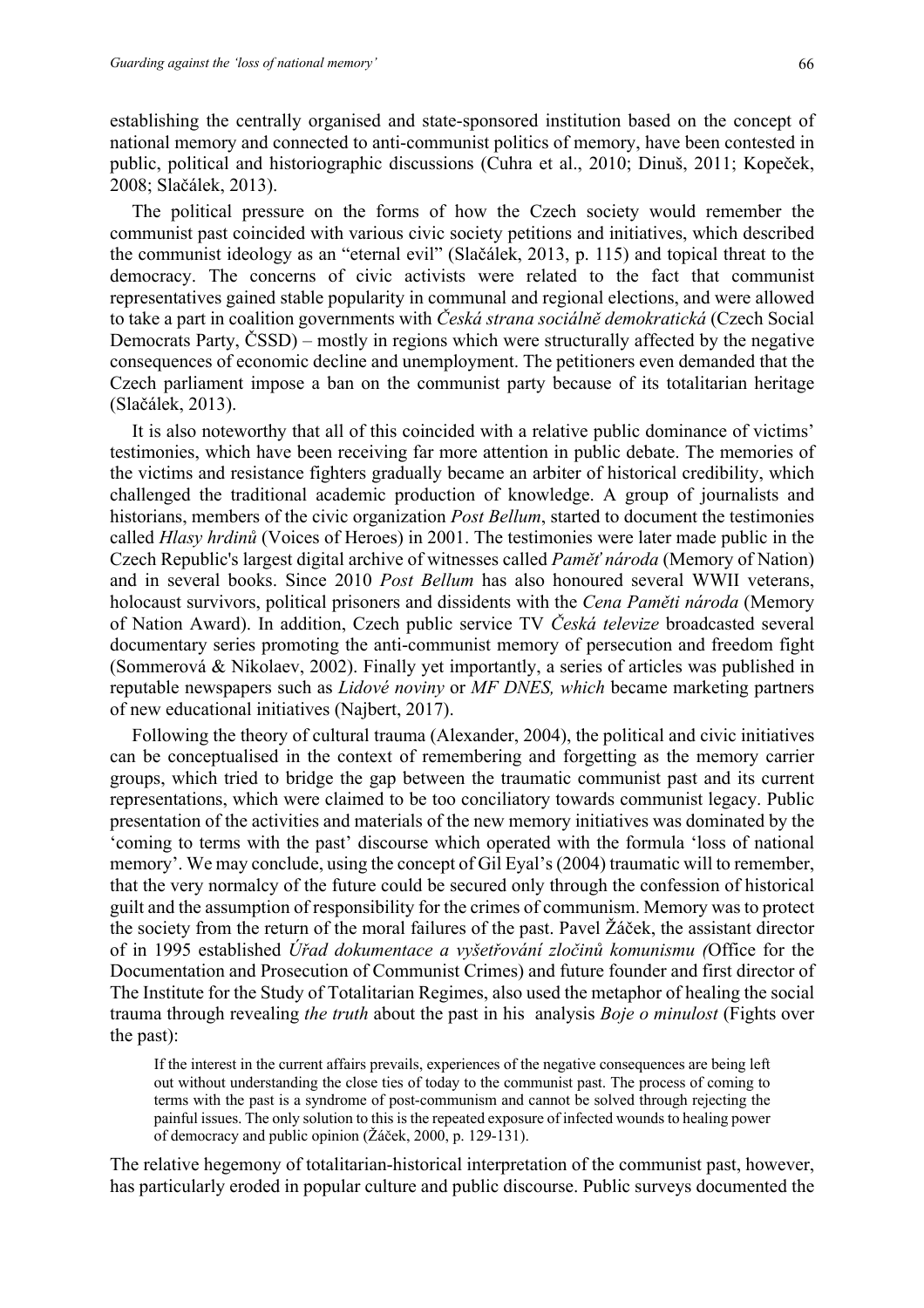establishing the centrally organised and state-sponsored institution based on the concept of national memory and connected to anti-communist politics of memory, have been contested in public, political and historiographic discussions (Cuhra et al., 2010; Dinuš, 2011; Kopeček, 2008; Slačálek, 2013).

The political pressure on the forms of how the Czech society would remember the communist past coincided with various civic society petitions and initiatives, which described the communist ideology as an "eternal evil" (Slačálek, 2013, p. 115) and topical threat to the democracy. The concerns of civic activists were related to the fact that communist representatives gained stable popularity in communal and regional elections, and were allowed to take a part in coalition governments with *Česká strana sociálně demokratická* (Czech Social Democrats Party, ČSSD) – mostly in regions which were structurally affected by the negative consequences of economic decline and unemployment. The petitioners even demanded that the Czech parliament impose a ban on the communist party because of its totalitarian heritage (Slačálek, 2013).

It is also noteworthy that all of this coincided with a relative public dominance of victims' testimonies, which have been receiving far more attention in public debate. The memories of the victims and resistance fighters gradually became an arbiter of historical credibility, which challenged the traditional academic production of knowledge. A group of journalists and historians, members of the civic organization *Post Bellum*, started to document the testimonies called *Hlasy hrdinů* (Voices of Heroes) in 2001. The testimonies were later made public in the Czech Republic's largest digital archive of witnesses called *Paměť národa* (Memory of Nation) and in several books. Since 2010 *Post Bellum* has also honoured several WWII veterans, holocaust survivors, political prisoners and dissidents with the *Cena Paměti národa* (Memory of Nation Award). In addition, Czech public service TV *Česká televize* broadcasted several documentary series promoting the anti-communist memory of persecution and freedom fight (Sommerová & Nikolaev, 2002). Finally yet importantly, a series of articles was published in reputable newspapers such as *Lidové noviny* or *MF DNES, which* became marketing partners of new educational initiatives (Najbert, 2017).

Following the theory of cultural trauma (Alexander, 2004), the political and civic initiatives can be conceptualised in the context of remembering and forgetting as the memory carrier groups, which tried to bridge the gap between the traumatic communist past and its current representations, which were claimed to be too conciliatory towards communist legacy. Public presentation of the activities and materials of the new memory initiatives was dominated by the 'coming to terms with the past' discourse which operated with the formula 'loss of national memory'. We may conclude, using the concept of Gil Eyal's (2004) traumatic will to remember, that the very normalcy of the future could be secured only through the confession of historical guilt and the assumption of responsibility for the crimes of communism. Memory was to protect the society from the return of the moral failures of the past. Pavel Žáček, the assistant director of in 1995 established *Úřad dokumentace a vyšetřování zločinů komunismu (*Office for the Documentation and Prosecution of Communist Crimes) and future founder and first director of The Institute for the Study of Totalitarian Regimes, also used the metaphor of healing the social trauma through revealing *the truth* about the past in his analysis *Boje o minulost* (Fights over the past):

If the interest in the current affairs prevails, experiences of the negative consequences are being left out without understanding the close ties of today to the communist past. The process of coming to terms with the past is a syndrome of post-communism and cannot be solved through rejecting the painful issues. The only solution to this is the repeated exposure of infected wounds to healing power of democracy and public opinion (Žáček, 2000, p. 129-131).

The relative hegemony of totalitarian-historical interpretation of the communist past, however, has particularly eroded in popular culture and public discourse. Public surveys documented the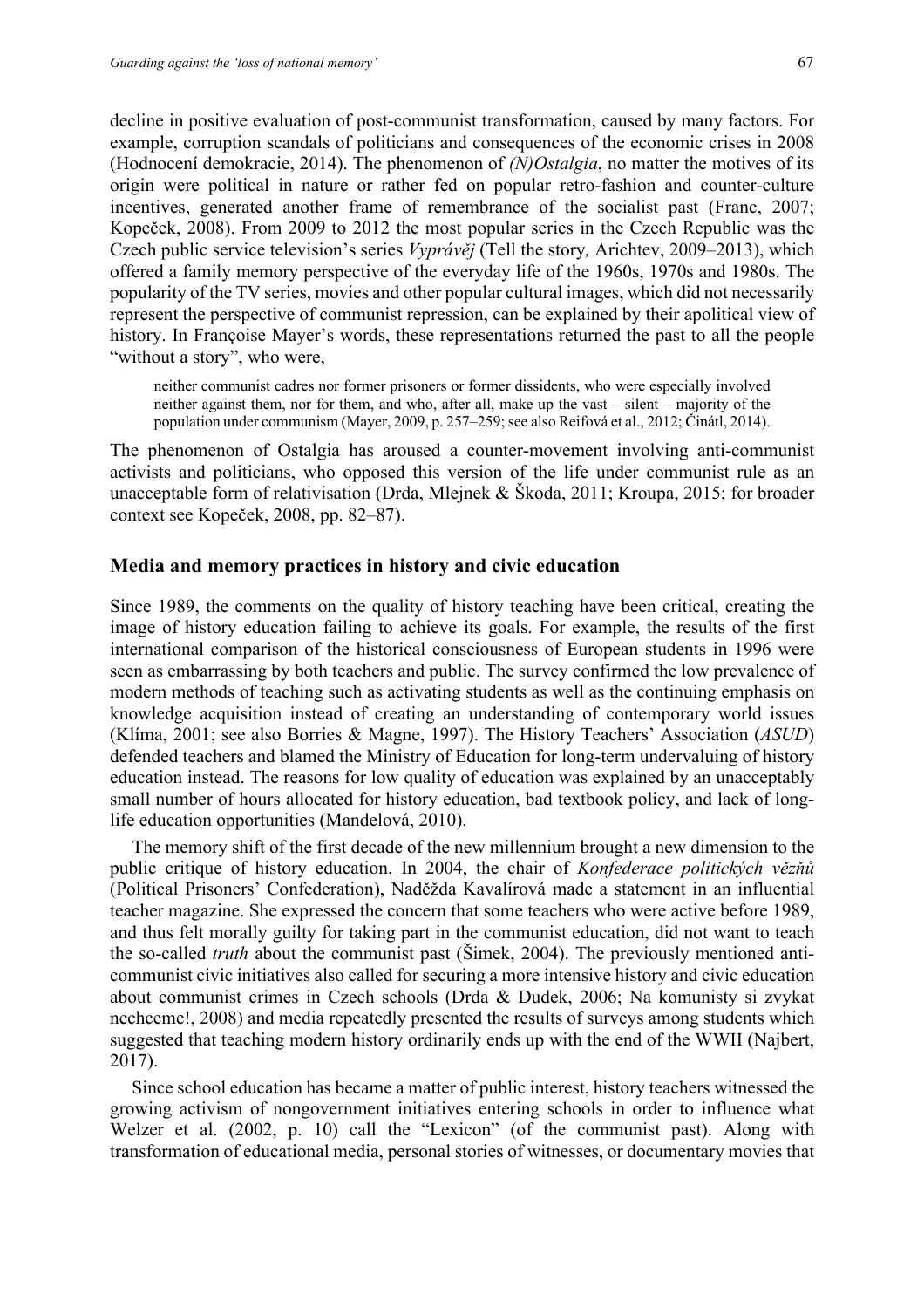decline in positive evaluation of post-communist transformation, caused by many factors. For example, corruption scandals of politicians and consequences of the economic crises in 2008 (Hodnocení demokracie, 2014). The phenomenon of *(N)Ostalgia*, no matter the motives of its origin were political in nature or rather fed on popular retro-fashion and counter-culture incentives, generated another frame of remembrance of the socialist past (Franc, 2007; Kopeček, 2008). From 2009 to 2012 the most popular series in the Czech Republic was the Czech public service television's series *Vyprávěj* (Tell the story*,* Arichtev, 2009–2013), which offered a family memory perspective of the everyday life of the 1960s, 1970s and 1980s. The popularity of the TV series, movies and other popular cultural images, which did not necessarily represent the perspective of communist repression, can be explained by their apolitical view of history. In Françoise Mayer's words, these representations returned the past to all the people "without a story", who were,

neither communist cadres nor former prisoners or former dissidents, who were especially involved neither against them, nor for them, and who, after all, make up the vast – silent – majority of the population under communism (Mayer, 2009, p. 257–259; see also Reifová et al., 2012; Činátl, 2014).

The phenomenon of Ostalgia has aroused a counter-movement involving anti-communist activists and politicians, who opposed this version of the life under communist rule as an unacceptable form of relativisation (Drda, Mlejnek & Škoda, 2011; Kroupa, 2015; for broader context see Kopeček, 2008, pp. 82–87).

#### **Media and memory practices in history and civic education**

Since 1989, the comments on the quality of history teaching have been critical, creating the image of history education failing to achieve its goals. For example, the results of the first international comparison of the historical consciousness of European students in 1996 were seen as embarrassing by both teachers and public. The survey confirmed the low prevalence of modern methods of teaching such as activating students as well as the continuing emphasis on knowledge acquisition instead of creating an understanding of contemporary world issues (Klíma, 2001; see also Borries & Magne, 1997). The History Teachers' Association (*ASUD*) defended teachers and blamed the Ministry of Education for long-term undervaluing of history education instead. The reasons for low quality of education was explained by an unacceptably small number of hours allocated for history education, bad textbook policy, and lack of longlife education opportunities (Mandelová, 2010).

The memory shift of the first decade of the new millennium brought a new dimension to the public critique of history education. In 2004, the chair of *Konfederace politických vězňů*  (Political Prisoners' Confederation), Naděžda Kavalírová made a statement in an influential teacher magazine. She expressed the concern that some teachers who were active before 1989, and thus felt morally guilty for taking part in the communist education, did not want to teach the so-called *truth* about the communist past (Šimek, 2004). The previously mentioned anticommunist civic initiatives also called for securing a more intensive history and civic education about communist crimes in Czech schools (Drda & Dudek, 2006; Na komunisty si zvykat nechceme!, 2008) and media repeatedly presented the results of surveys among students which suggested that teaching modern history ordinarily ends up with the end of the WWII (Najbert, 2017).

Since school education has became a matter of public interest, history teachers witnessed the growing activism of nongovernment initiatives entering schools in order to influence what Welzer et al. (2002, p. 10) call the "Lexicon" (of the communist past). Along with transformation of educational media, personal stories of witnesses, or documentary movies that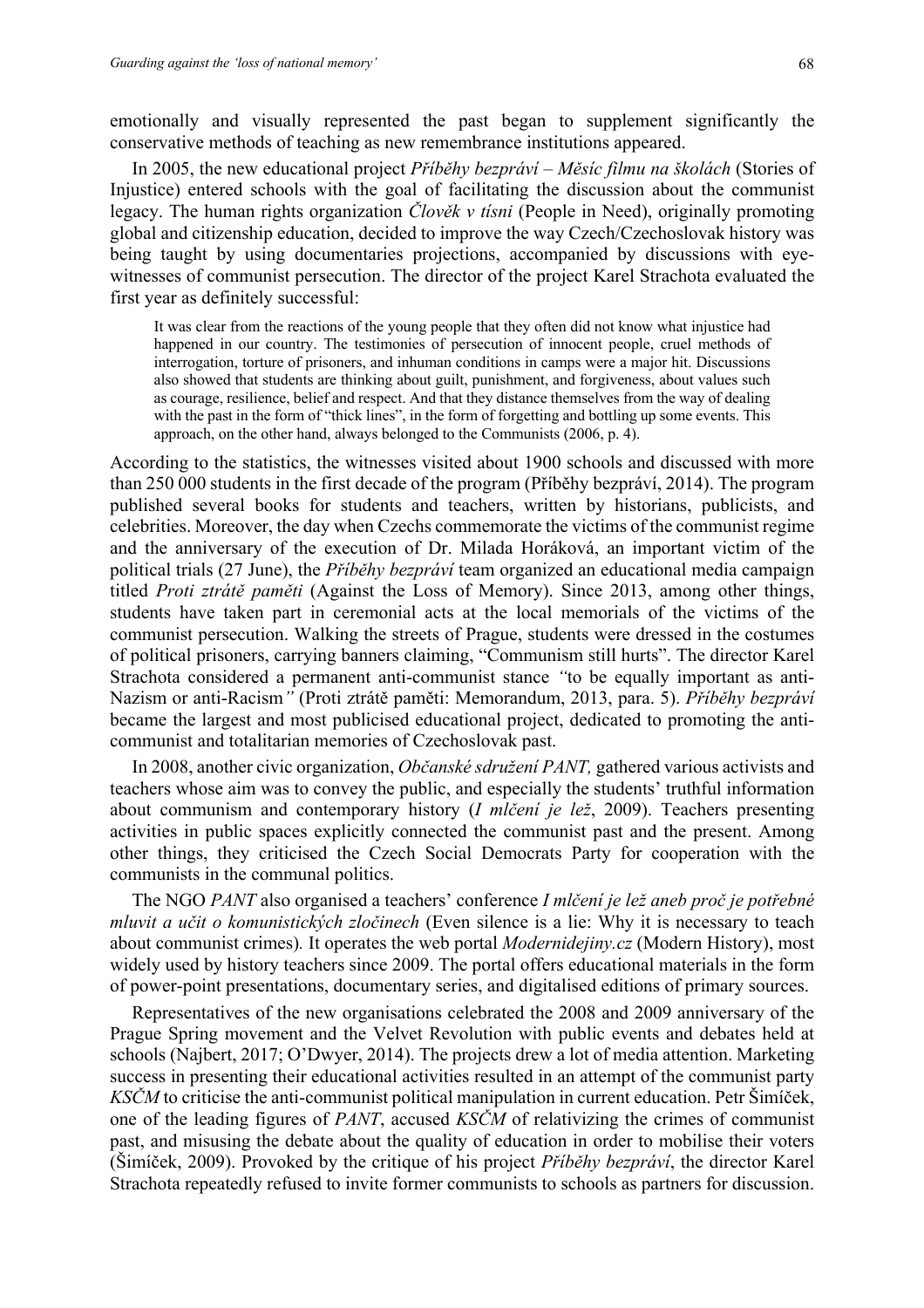emotionally and visually represented the past began to supplement significantly the conservative methods of teaching as new remembrance institutions appeared.

In 2005, the new educational project *Příběhy bezpráví – Měsíc filmu na školách* (Stories of Injustice) entered schools with the goal of facilitating the discussion about the communist legacy. The human rights organization *Člověk v tísni* (People in Need), originally promoting global and citizenship education, decided to improve the way Czech/Czechoslovak history was being taught by using documentaries projections, accompanied by discussions with eyewitnesses of communist persecution. The director of the project Karel Strachota evaluated the first year as definitely successful:

It was clear from the reactions of the young people that they often did not know what injustice had happened in our country. The testimonies of persecution of innocent people, cruel methods of interrogation, torture of prisoners, and inhuman conditions in camps were a major hit. Discussions also showed that students are thinking about guilt, punishment, and forgiveness, about values such as courage, resilience, belief and respect. And that they distance themselves from the way of dealing with the past in the form of "thick lines", in the form of forgetting and bottling up some events. This approach, on the other hand, always belonged to the Communists (2006, p. 4).

According to the statistics, the witnesses visited about 1900 schools and discussed with more than 250 000 students in the first decade of the program (Příběhy bezpráví, 2014). The program published several books for students and teachers, written by historians, publicists, and celebrities. Moreover, the day when Czechs commemorate the victims of the communist regime and the anniversary of the execution of Dr. Milada Horáková, an important victim of the political trials (27 June), the *Příběhy bezpráví* team organized an educational media campaign titled *Proti ztrátě paměti* (Against the Loss of Memory). Since 2013, among other things, students have taken part in ceremonial acts at the local memorials of the victims of the communist persecution. Walking the streets of Prague, students were dressed in the costumes of political prisoners, carrying banners claiming, "Communism still hurts". The director Karel Strachota considered a permanent anti-communist stance *"*to be equally important as anti-Nazism or anti-Racism*"* (Proti ztrátě paměti: Memorandum, 2013, para. 5). *Příběhy bezpráví* became the largest and most publicised educational project, dedicated to promoting the anticommunist and totalitarian memories of Czechoslovak past.

In 2008, another civic organization, *Občanské sdružení PANT,* gathered various activists and teachers whose aim was to convey the public, and especially the students' truthful information about communism and contemporary history (*I mlčení je lež*, 2009). Teachers presenting activities in public spaces explicitly connected the communist past and the present. Among other things, they criticised the Czech Social Democrats Party for cooperation with the communists in the communal politics.

The NGO *PANT* also organised a teachers' conference *I mlčení je lež aneb proč je potřebné mluvit a učit o komunistických zločinech* (Even silence is a lie: Why it is necessary to teach about communist crimes)*.* It operates the web portal *Modernidejiny.cz* (Modern History), most widely used by history teachers since 2009. The portal offers educational materials in the form of power-point presentations, documentary series, and digitalised editions of primary sources.

Representatives of the new organisations celebrated the 2008 and 2009 anniversary of the Prague Spring movement and the Velvet Revolution with public events and debates held at schools (Najbert, 2017; O'Dwyer, 2014). The projects drew a lot of media attention. Marketing success in presenting their educational activities resulted in an attempt of the communist party *KSČM* to criticise the anti-communist political manipulation in current education. Petr Šimíček, one of the leading figures of *PANT*, accused *KSČM* of relativizing the crimes of communist past, and misusing the debate about the quality of education in order to mobilise their voters (Šimíček, 2009). Provoked by the critique of his project *Příběhy bezpráví*, the director Karel Strachota repeatedly refused to invite former communists to schools as partners for discussion.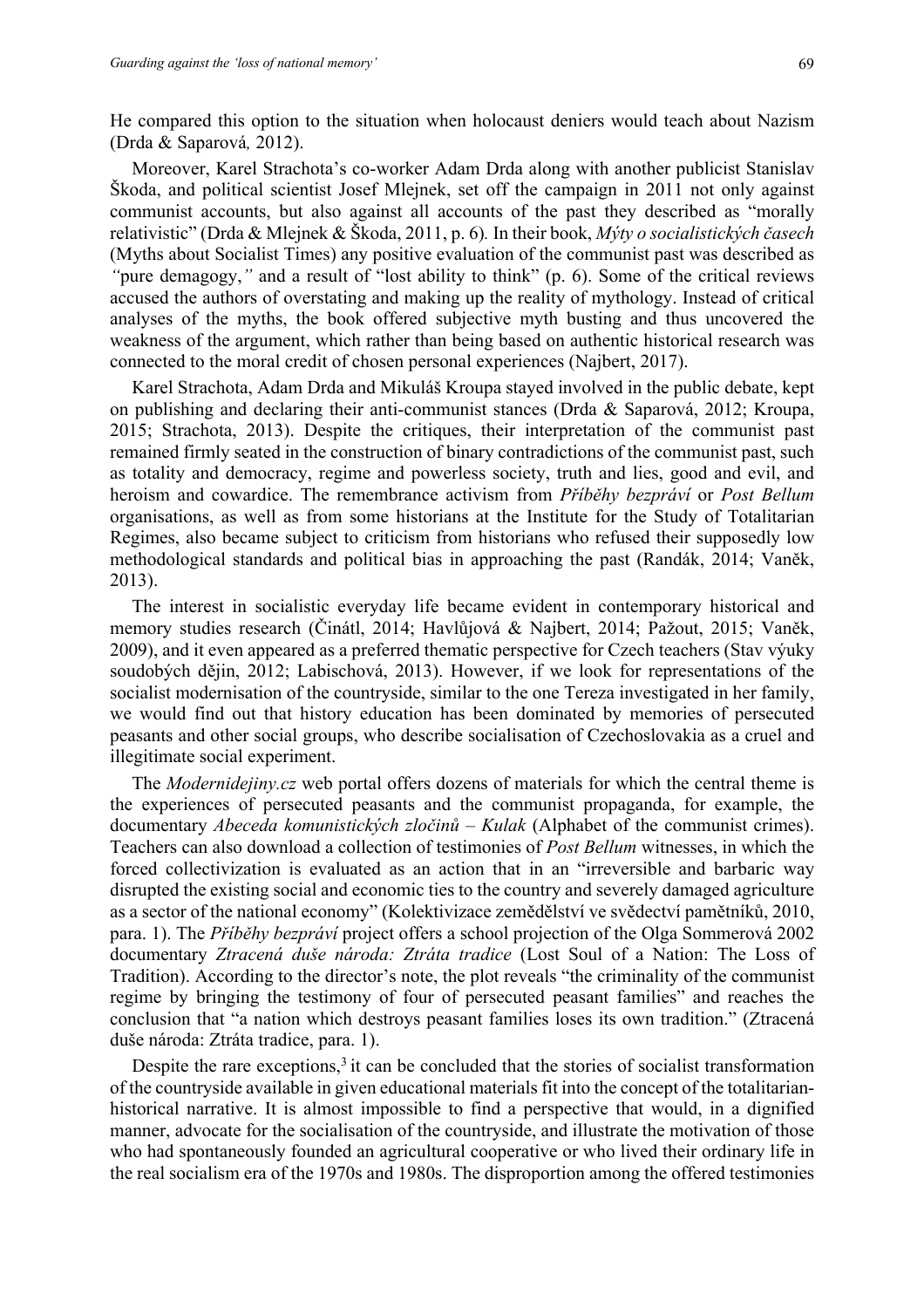He compared this option to the situation when holocaust deniers would teach about Nazism (Drda & Saparová*,* 2012).

Moreover, Karel Strachota's co-worker Adam Drda along with another publicist Stanislav Škoda, and political scientist Josef Mlejnek, set off the campaign in 2011 not only against communist accounts, but also against all accounts of the past they described as "morally relativistic" (Drda & Mlejnek & Škoda, 2011, p. 6)*.* In their book, *Mýty o socialistických časech* (Myths about Socialist Times) any positive evaluation of the communist past was described as *"*pure demagogy,*"* and a result of "lost ability to think" (p. 6). Some of the critical reviews accused the authors of overstating and making up the reality of mythology. Instead of critical analyses of the myths, the book offered subjective myth busting and thus uncovered the weakness of the argument, which rather than being based on authentic historical research was connected to the moral credit of chosen personal experiences (Najbert, 2017).

Karel Strachota, Adam Drda and Mikuláš Kroupa stayed involved in the public debate, kept on publishing and declaring their anti-communist stances (Drda & Saparová, 2012; Kroupa, 2015; Strachota, 2013). Despite the critiques, their interpretation of the communist past remained firmly seated in the construction of binary contradictions of the communist past, such as totality and democracy, regime and powerless society, truth and lies, good and evil, and heroism and cowardice. The remembrance activism from *Příběhy bezpráví* or *Post Bellum* organisations, as well as from some historians at the Institute for the Study of Totalitarian Regimes, also became subject to criticism from historians who refused their supposedly low methodological standards and political bias in approaching the past (Randák, 2014; Vaněk, 2013).

The interest in socialistic everyday life became evident in contemporary historical and memory studies research (Činátl, 2014; Havlůjová & Najbert, 2014; Pažout, 2015; Vaněk, 2009), and it even appeared as a preferred thematic perspective for Czech teachers (Stav výuky soudobých dějin, 2012; Labischová, 2013). However, if we look for representations of the socialist modernisation of the countryside, similar to the one Tereza investigated in her family, we would find out that history education has been dominated by memories of persecuted peasants and other social groups, who describe socialisation of Czechoslovakia as a cruel and illegitimate social experiment.

The *Modernidejiny.cz* web portal offers dozens of materials for which the central theme is the experiences of persecuted peasants and the communist propaganda, for example, the documentary *Abeceda komunistických zločinů – Kulak* (Alphabet of the communist crimes). Teachers can also download a collection of testimonies of *Post Bellum* witnesses, in which the forced collectivization is evaluated as an action that in an "irreversible and barbaric way disrupted the existing social and economic ties to the country and severely damaged agriculture as a sector of the national economy" (Kolektivizace zemědělství ve svědectví pamětníků, 2010, para. 1). The *Příběhy bezpráví* project offers a school projection of the Olga Sommerová 2002 documentary *Ztracená duše národa: Ztráta tradice* (Lost Soul of a Nation: The Loss of Tradition). According to the director's note, the plot reveals "the criminality of the communist regime by bringing the testimony of four of persecuted peasant families" and reaches the conclusion that "a nation which destroys peasant families loses its own tradition." (Ztracená duše národa: Ztráta tradice, para. 1).

Despite the rare exceptions, $3$  it can be concluded that the stories of socialist transformation of the countryside available in given educational materials fit into the concept of the totalitarianhistorical narrative. It is almost impossible to find a perspective that would, in a dignified manner, advocate for the socialisation of the countryside, and illustrate the motivation of those who had spontaneously founded an agricultural cooperative or who lived their ordinary life in the real socialism era of the 1970s and 1980s. The disproportion among the offered testimonies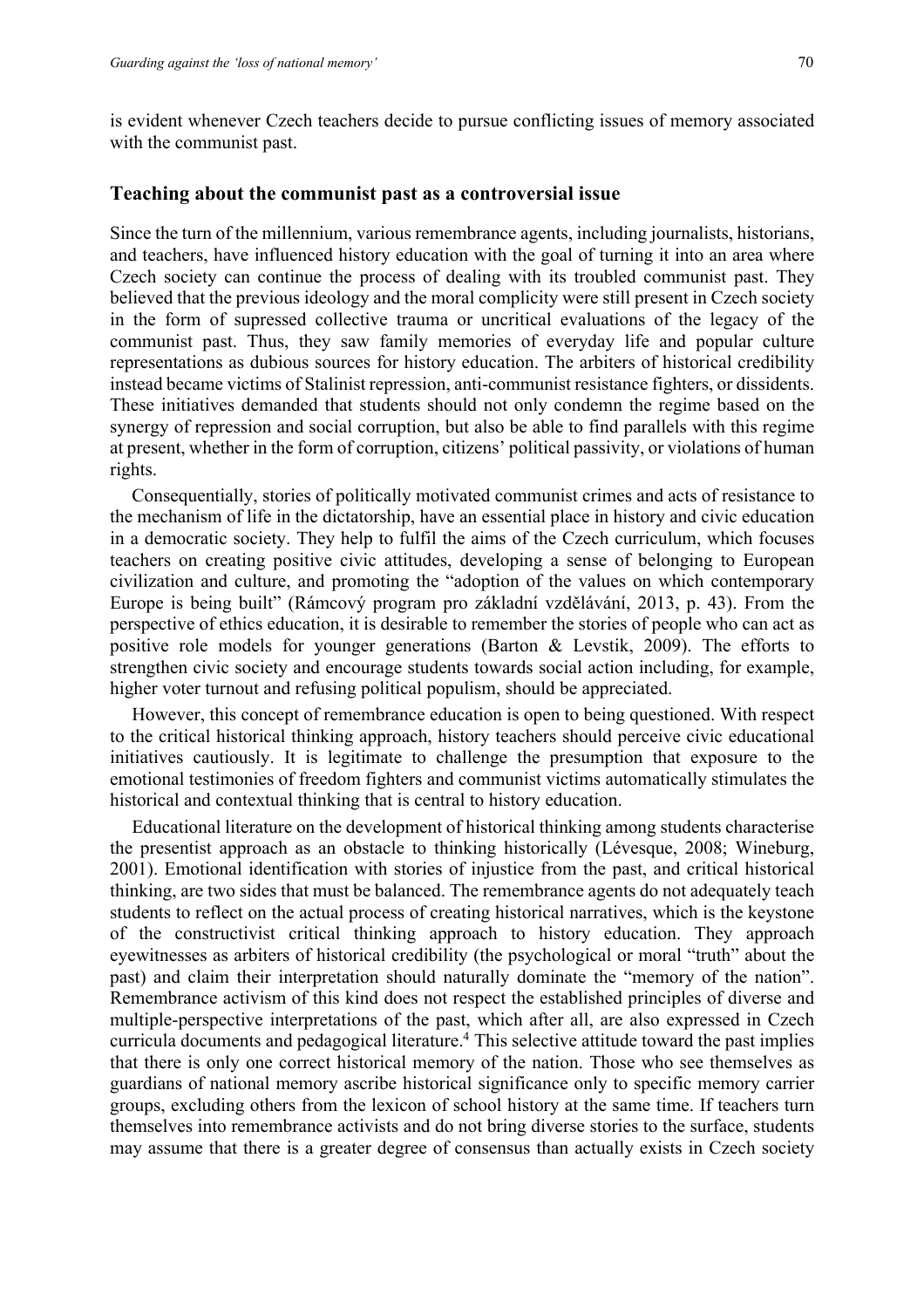70

is evident whenever Czech teachers decide to pursue conflicting issues of memory associated with the communist past.

#### **Teaching about the communist past as a controversial issue**

Since the turn of the millennium, various remembrance agents, including journalists, historians, and teachers, have influenced history education with the goal of turning it into an area where Czech society can continue the process of dealing with its troubled communist past. They believed that the previous ideology and the moral complicity were still present in Czech society in the form of supressed collective trauma or uncritical evaluations of the legacy of the communist past. Thus, they saw family memories of everyday life and popular culture representations as dubious sources for history education. The arbiters of historical credibility instead became victims of Stalinist repression, anti-communist resistance fighters, or dissidents. These initiatives demanded that students should not only condemn the regime based on the synergy of repression and social corruption, but also be able to find parallels with this regime at present, whether in the form of corruption, citizens' political passivity, or violations of human rights.

Consequentially, stories of politically motivated communist crimes and acts of resistance to the mechanism of life in the dictatorship, have an essential place in history and civic education in a democratic society. They help to fulfil the aims of the Czech curriculum, which focuses teachers on creating positive civic attitudes, developing a sense of belonging to European civilization and culture, and promoting the "adoption of the values on which contemporary Europe is being built" (Rámcový program pro základní vzdělávání, 2013, p. 43). From the perspective of ethics education, it is desirable to remember the stories of people who can act as positive role models for younger generations (Barton & Levstik, 2009). The efforts to strengthen civic society and encourage students towards social action including, for example, higher voter turnout and refusing political populism, should be appreciated.

However, this concept of remembrance education is open to being questioned. With respect to the critical historical thinking approach, history teachers should perceive civic educational initiatives cautiously. It is legitimate to challenge the presumption that exposure to the emotional testimonies of freedom fighters and communist victims automatically stimulates the historical and contextual thinking that is central to history education.

Educational literature on the development of historical thinking among students characterise the presentist approach as an obstacle to thinking historically (Lévesque, 2008; Wineburg, 2001). Emotional identification with stories of injustice from the past, and critical historical thinking, are two sides that must be balanced. The remembrance agents do not adequately teach students to reflect on the actual process of creating historical narratives, which is the keystone of the constructivist critical thinking approach to history education. They approach eyewitnesses as arbiters of historical credibility (the psychological or moral "truth" about the past) and claim their interpretation should naturally dominate the "memory of the nation". Remembrance activism of this kind does not respect the established principles of diverse and multiple-perspective interpretations of the past, which after all, are also expressed in Czech curricula documents and pedagogical literature. <sup>4</sup> This selective attitude toward the past implies that there is only one correct historical memory of the nation. Those who see themselves as guardians of national memory ascribe historical significance only to specific memory carrier groups, excluding others from the lexicon of school history at the same time. If teachers turn themselves into remembrance activists and do not bring diverse stories to the surface, students may assume that there is a greater degree of consensus than actually exists in Czech society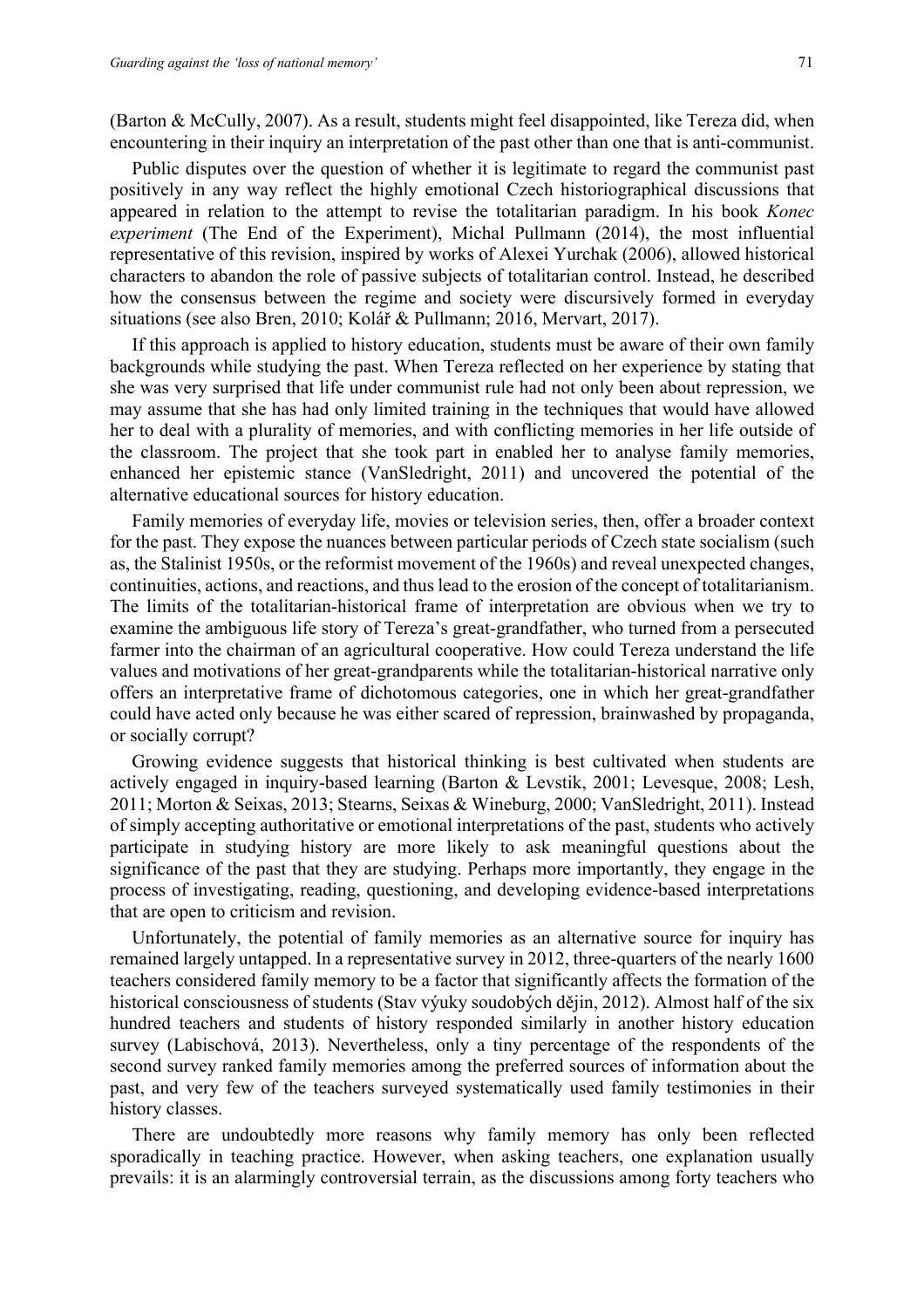(Barton & McCully, 2007). As a result, students might feel disappointed, like Tereza did, when encountering in their inquiry an interpretation of the past other than one that is anti-communist.

Public disputes over the question of whether it is legitimate to regard the communist past positively in any way reflect the highly emotional Czech historiographical discussions that appeared in relation to the attempt to revise the totalitarian paradigm. In his book *Konec experiment* (The End of the Experiment), Michal Pullmann (2014), the most influential representative of this revision, inspired by works of Alexei Yurchak (2006), allowed historical characters to abandon the role of passive subjects of totalitarian control. Instead, he described how the consensus between the regime and society were discursively formed in everyday situations (see also Bren, 2010; Kolář & Pullmann; 2016, Mervart, 2017).

If this approach is applied to history education, students must be aware of their own family backgrounds while studying the past. When Tereza reflected on her experience by stating that she was very surprised that life under communist rule had not only been about repression, we may assume that she has had only limited training in the techniques that would have allowed her to deal with a plurality of memories, and with conflicting memories in her life outside of the classroom. The project that she took part in enabled her to analyse family memories, enhanced her epistemic stance (VanSledright, 2011) and uncovered the potential of the alternative educational sources for history education.

Family memories of everyday life, movies or television series, then, offer a broader context for the past. They expose the nuances between particular periods of Czech state socialism (such as, the Stalinist 1950s, or the reformist movement of the 1960s) and reveal unexpected changes, continuities, actions, and reactions, and thus lead to the erosion of the concept of totalitarianism. The limits of the totalitarian-historical frame of interpretation are obvious when we try to examine the ambiguous life story of Tereza's great-grandfather, who turned from a persecuted farmer into the chairman of an agricultural cooperative. How could Tereza understand the life values and motivations of her great-grandparents while the totalitarian-historical narrative only offers an interpretative frame of dichotomous categories, one in which her great-grandfather could have acted only because he was either scared of repression, brainwashed by propaganda, or socially corrupt?

Growing evidence suggests that historical thinking is best cultivated when students are actively engaged in inquiry-based learning (Barton & Levstik, 2001; Levesque, 2008; Lesh, 2011; Morton & Seixas, 2013; Stearns, Seixas & Wineburg, 2000; VanSledright, 2011). Instead of simply accepting authoritative or emotional interpretations of the past, students who actively participate in studying history are more likely to ask meaningful questions about the significance of the past that they are studying. Perhaps more importantly, they engage in the process of investigating, reading, questioning, and developing evidence-based interpretations that are open to criticism and revision.

Unfortunately, the potential of family memories as an alternative source for inquiry has remained largely untapped. In a representative survey in 2012, three-quarters of the nearly 1600 teachers considered family memory to be a factor that significantly affects the formation of the historical consciousness of students (Stav výuky soudobých dějin, 2012). Almost half of the six hundred teachers and students of history responded similarly in another history education survey (Labischová, 2013). Nevertheless, only a tiny percentage of the respondents of the second survey ranked family memories among the preferred sources of information about the past, and very few of the teachers surveyed systematically used family testimonies in their history classes.

There are undoubtedly more reasons why family memory has only been reflected sporadically in teaching practice. However, when asking teachers, one explanation usually prevails: it is an alarmingly controversial terrain, as the discussions among forty teachers who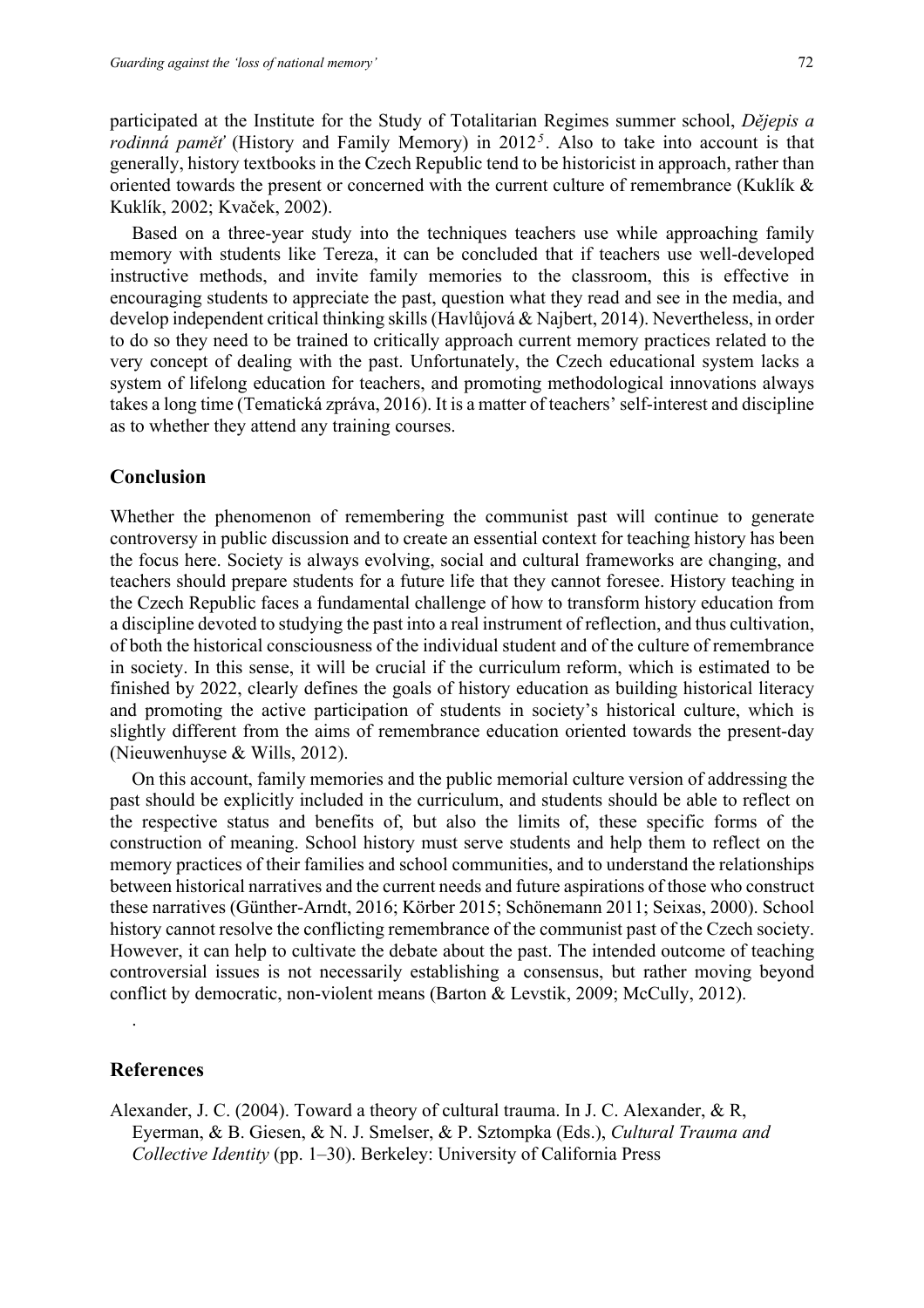72

participated at the Institute for the Study of Totalitarian Regimes summer school, *Dějepis a rodinná paměť* (History and Family Memory) in 2012*<sup>5</sup>*. Also to take into account is that generally, history textbooks in the Czech Republic tend to be historicist in approach, rather than oriented towards the present or concerned with the current culture of remembrance (Kuklík & Kuklík, 2002; Kvaček, 2002).

Based on a three-year study into the techniques teachers use while approaching family memory with students like Tereza, it can be concluded that if teachers use well-developed instructive methods, and invite family memories to the classroom, this is effective in encouraging students to appreciate the past, question what they read and see in the media, and develop independent critical thinking skills (Havlůjová & Najbert, 2014). Nevertheless, in order to do so they need to be trained to critically approach current memory practices related to the very concept of dealing with the past. Unfortunately, the Czech educational system lacks a system of lifelong education for teachers, and promoting methodological innovations always takes a long time (Tematická zpráva, 2016). It is a matter of teachers' self-interest and discipline as to whether they attend any training courses.

## **Conclusion**

Whether the phenomenon of remembering the communist past will continue to generate controversy in public discussion and to create an essential context for teaching history has been the focus here. Society is always evolving, social and cultural frameworks are changing, and teachers should prepare students for a future life that they cannot foresee. History teaching in the Czech Republic faces a fundamental challenge of how to transform history education from a discipline devoted to studying the past into a real instrument of reflection, and thus cultivation, of both the historical consciousness of the individual student and of the culture of remembrance in society. In this sense, it will be crucial if the curriculum reform, which is estimated to be finished by 2022, clearly defines the goals of history education as building historical literacy and promoting the active participation of students in society's historical culture, which is slightly different from the aims of remembrance education oriented towards the present-day (Nieuwenhuyse & Wills, 2012).

On this account, family memories and the public memorial culture version of addressing the past should be explicitly included in the curriculum, and students should be able to reflect on the respective status and benefits of, but also the limits of, these specific forms of the construction of meaning. School history must serve students and help them to reflect on the memory practices of their families and school communities, and to understand the relationships between historical narratives and the current needs and future aspirations of those who construct these narratives (Günther-Arndt, 2016; Körber 2015; Schönemann 2011; Seixas, 2000). School history cannot resolve the conflicting remembrance of the communist past of the Czech society. However, it can help to cultivate the debate about the past. The intended outcome of teaching controversial issues is not necessarily establishing a consensus, but rather moving beyond conflict by democratic, non-violent means (Barton & Levstik, 2009; McCully, 2012).

## **References**

.

Alexander, J. C. (2004). Toward a theory of cultural trauma. In J. C. Alexander, & R, Eyerman, & B. Giesen, & N. J. Smelser, & P. Sztompka (Eds.), *Cultural Trauma and Collective Identity* (pp. 1–30). Berkeley: University of California Press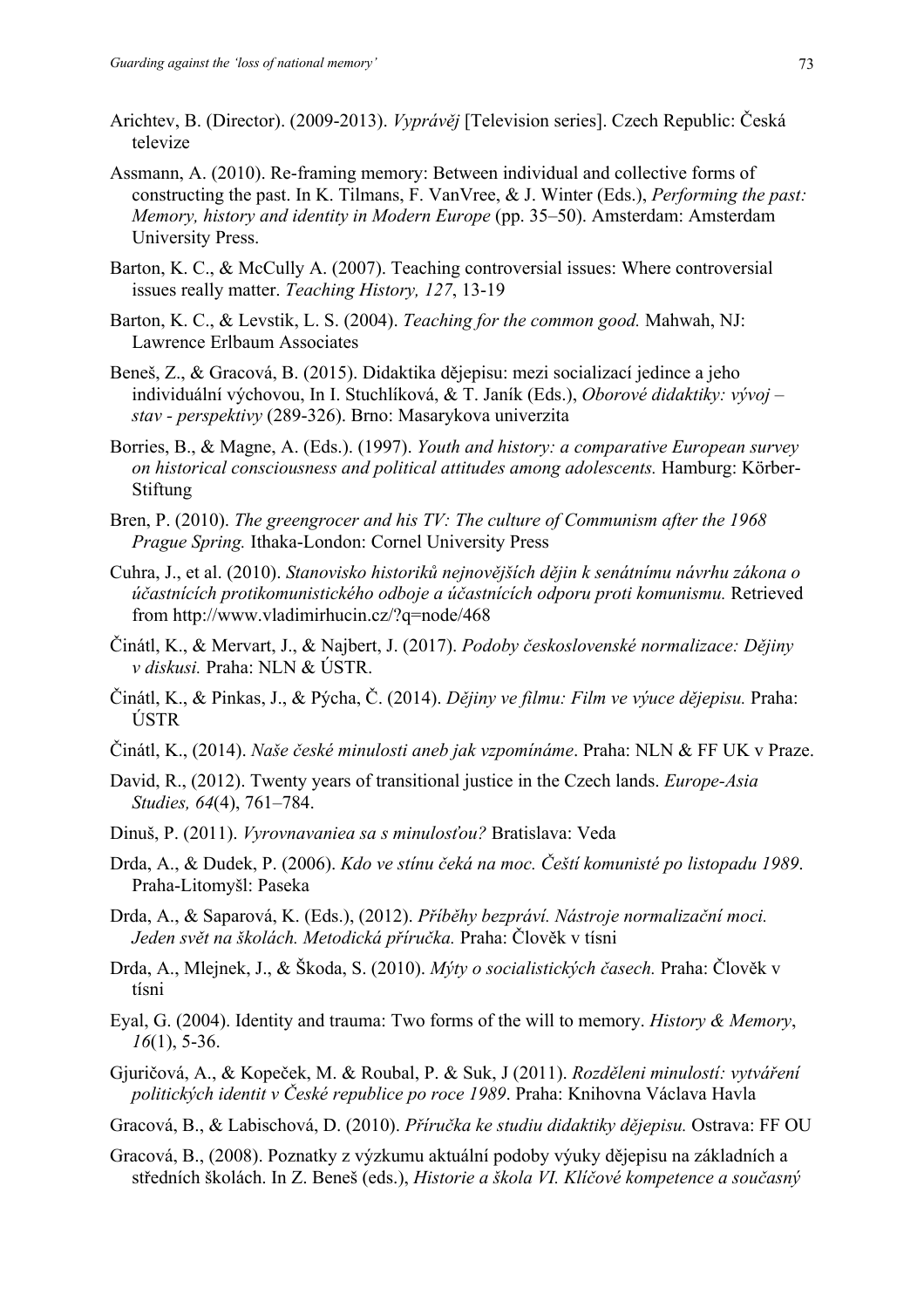- Arichtev, B. (Director). (2009-2013). *Vyprávěj* [Television series]. Czech Republic: Česká televize
- Assmann, A. (2010). Re-framing memory: Between individual and collective forms of constructing the past. In K. Tilmans, F. VanVree, & J. Winter (Eds.), *Performing the past: Memory, history and identity in Modern Europe* (pp. 35–50). Amsterdam: Amsterdam University Press.
- Barton, K. C., & McCully A. (2007). Teaching controversial issues: Where controversial issues really matter. *Teaching History, 127*, 13-19
- Barton, K. C., & Levstik, L. S. (2004). *Teaching for the common good.* Mahwah, NJ: Lawrence Erlbaum Associates
- Beneš, Z., & Gracová, B. (2015). Didaktika dějepisu: mezi socializací jedince a jeho individuální výchovou, In I. Stuchlíková, & T. Janík (Eds.), *Oborové didaktiky: vývoj – stav - perspektivy* (289-326). Brno: Masarykova univerzita
- Borries, B., & Magne, A. (Eds.). (1997). *Youth and history: a comparative European survey on historical consciousness and political attitudes among adolescents.* Hamburg: Körber-Stiftung
- Bren, P. (2010). *The greengrocer and his TV: The culture of Communism after the 1968 Prague Spring.* Ithaka-London: Cornel University Press
- Cuhra, J., et al. (2010). *Stanovisko historiků nejnovějších dějin k senátnímu návrhu zákona o účastnících protikomunistického odboje a účastnících odporu proti komunismu.* Retrieved from http://www.vladimirhucin.cz/?q=node/468
- Činátl, K., & Mervart, J., & Najbert, J. (2017). *Podoby československé normalizace: Dějiny v diskusi.* Praha: NLN & ÚSTR.
- Činátl, K., & Pinkas, J., & Pýcha, Č. (2014). *Dějiny ve filmu: Film ve výuce dějepisu.* Praha: ÚSTR
- Činátl, K., (2014). *Naše české minulosti aneb jak vzpomínáme*. Praha: NLN & FF UK v Praze.
- David, R., (2012). Twenty years of transitional justice in the Czech lands. *Europe-Asia Studies, 64*(4), 761–784.
- Dinuš, P. (2011). *Vyrovnavaniea sa s minulosťou?* Bratislava: Veda
- Drda, A., & Dudek, P. (2006). *Kdo ve stínu čeká na moc. Čeští komunisté po listopadu 1989*. Praha-Litomyšl: Paseka
- Drda, A., & Saparová, K. (Eds.), (2012). *Příběhy bezpráví. Nástroje normalizační moci. Jeden svět na školách. Metodická příručka.* Praha: Člověk v tísni
- Drda, A., Mlejnek, J., & Škoda, S. (2010). *Mýty o socialistických časech.* Praha: Člověk v tísni
- Eyal, G. (2004). Identity and trauma: Two forms of the will to memory. *History & Memory*, *16*(1), 5-36.
- Gjuričová, A., & Kopeček, M. & Roubal, P. & Suk, J (2011). *Rozděleni minulostí: vytváření politických identit v České republice po roce 1989*. Praha: Knihovna Václava Havla
- Gracová, B., & Labischová, D. (2010). *Příručka ke studiu didaktiky dějepisu.* Ostrava: FF OU
- Gracová, B., (2008). Poznatky z výzkumu aktuální podoby výuky dějepisu na základních a středních školách. In Z. Beneš (eds.), *Historie a škola VI. Klíčové kompetence a současný*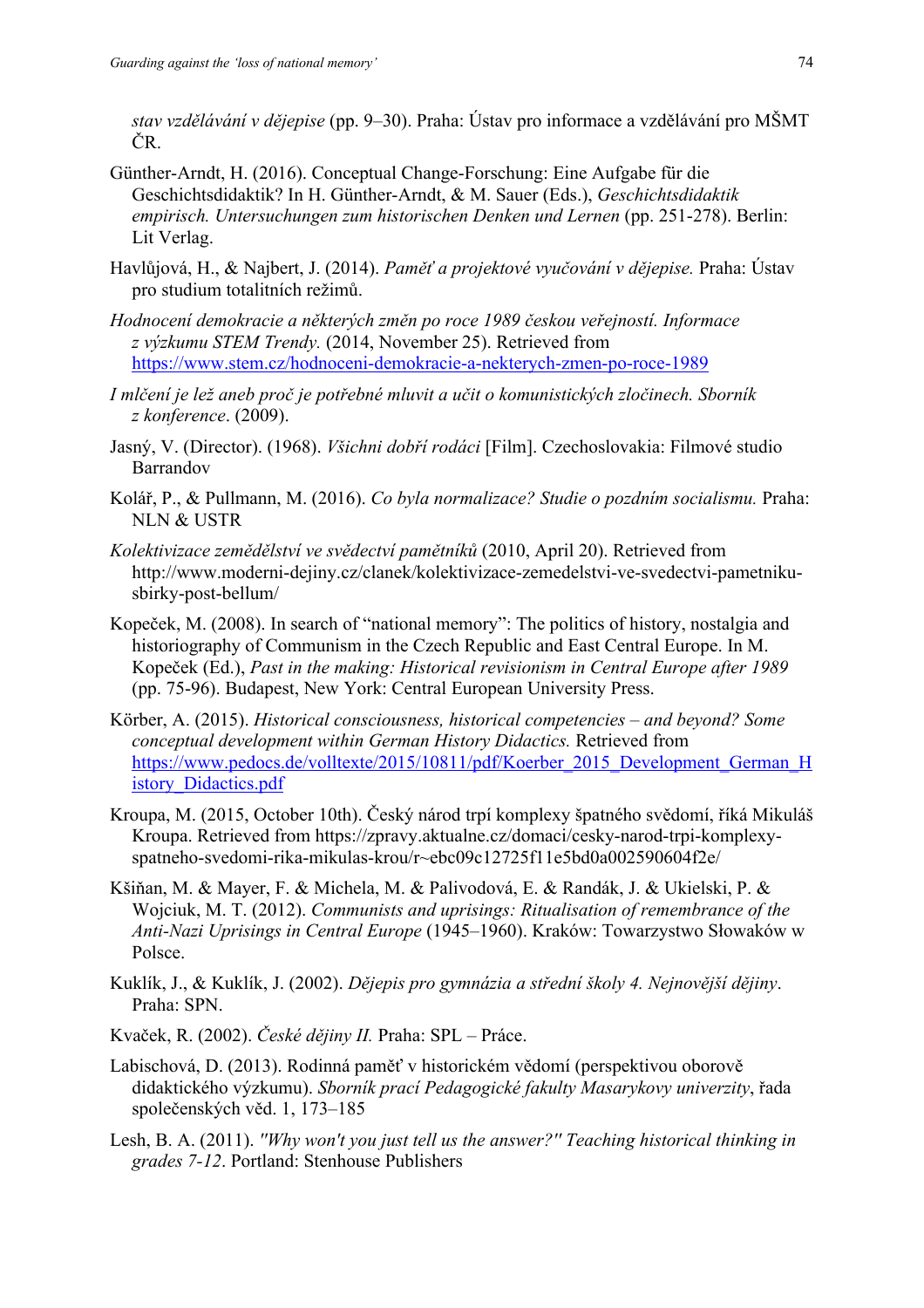*stav vzdělávání v dějepise* (pp. 9–30). Praha: Ústav pro informace a vzdělávání pro MŠMT ČR.

- Günther-Arndt, H. (2016). Conceptual Change-Forschung: Eine Aufgabe für die Geschichtsdidaktik? In H. Günther-Arndt, & M. Sauer (Eds.), *Geschichtsdidaktik empirisch. Untersuchungen zum historischen Denken und Lernen* (pp. 251-278). Berlin: Lit Verlag.
- Havlůjová, H., & Najbert, J. (2014). *Paměť a projektové vyučování v dějepise.* Praha: Ústav pro studium totalitních režimů.
- *Hodnocení demokracie a některých změn po roce 1989 českou veřejností. Informace z výzkumu STEM Trendy.* (2014, November 25). Retrieved from https://www.stem.cz/hodnoceni-demokracie-a-nekterych-zmen-po-roce-1989
- *I mlčení je lež aneb proč je potřebné mluvit a učit o komunistických zločinech. Sborník z konference*. (2009).
- Jasný, V. (Director). (1968). *Všichni dobří rodáci* [Film]. Czechoslovakia: Filmové studio Barrandov
- Kolář, P., & Pullmann, M. (2016). *Co byla normalizace? Studie o pozdním socialismu.* Praha: NLN & USTR
- *Kolektivizace zemědělství ve svědectví pamětníků* (2010, April 20). Retrieved from http://www.moderni-dejiny.cz/clanek/kolektivizace-zemedelstvi-ve-svedectvi-pametnikusbirky-post-bellum/
- Kopeček, M. (2008). In search of "national memory": The politics of history, nostalgia and historiography of Communism in the Czech Republic and East Central Europe. In M. Kopeček (Ed.), *Past in the making: Historical revisionism in Central Europe after 1989* (pp. 75-96). Budapest, New York: Central European University Press.
- Körber, A. (2015). *Historical consciousness, historical competencies – and beyond? Some conceptual development within German History Didactics.* Retrieved from https://www.pedocs.de/volltexte/2015/10811/pdf/Koerber\_2015\_Development\_German\_H istory\_Didactics.pdf
- Kroupa, M. (2015, October 10th). Český národ trpí komplexy špatného svědomí, říká Mikuláš Kroupa. Retrieved from https://zpravy.aktualne.cz/domaci/cesky-narod-trpi-komplexyspatneho-svedomi-rika-mikulas-krou/r~ebc09c12725f11e5bd0a002590604f2e/
- Kšiňan, M. & Mayer, F. & Michela, M. & Palivodová, E. & Randák, J. & Ukielski, P. & Wojciuk, M. T. (2012). *Communists and uprisings: Ritualisation of remembrance of the Anti-Nazi Uprisings in Central Europe* (1945–1960). Kraków: Towarzystwo Słowaków w Polsce.
- Kuklík, J., & Kuklík, J. (2002). *Dějepis pro gymnázia a střední školy 4. Nejnovější dějiny*. Praha: SPN.
- Kvaček, R. (2002). *České dějiny II.* Praha: SPL Práce.
- Labischová, D. (2013). Rodinná paměť v historickém vědomí (perspektivou oborově didaktického výzkumu). *Sborník prací Pedagogické fakulty Masarykovy univerzity*, řada společenských věd. 1, 173–185
- Lesh, B. A. (2011). *''Why won't you just tell us the answer?'' Teaching historical thinking in grades 7-12*. Portland: Stenhouse Publishers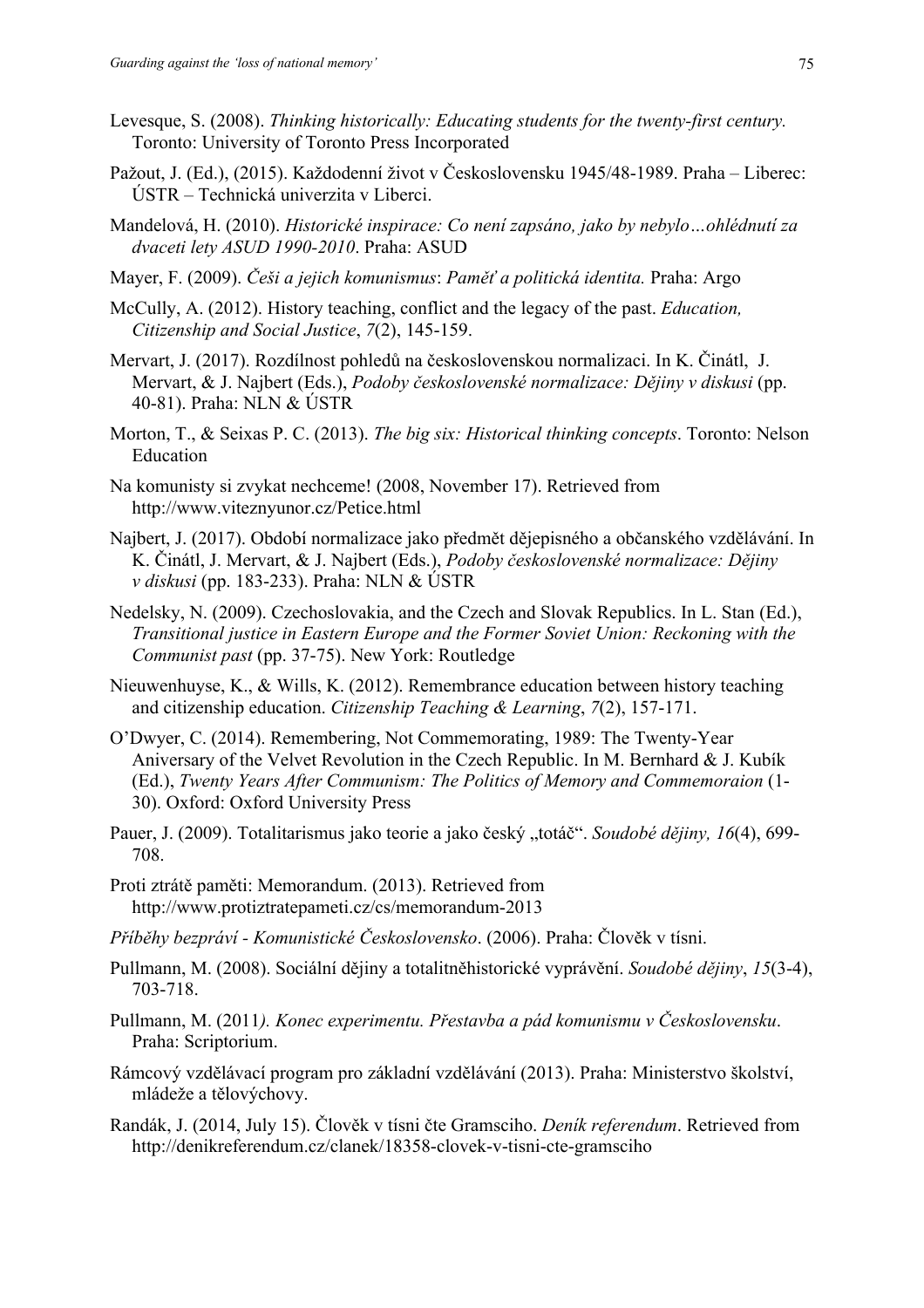- Levesque, S. (2008). *Thinking historically: Educating students for the twenty-first century.*  Toronto: University of Toronto Press Incorporated
- Pažout, J. (Ed.), (2015). Každodenní život v Československu 1945/48-1989. Praha Liberec: ÚSTR – Technická univerzita v Liberci.
- Mandelová, H. (2010). *Historické inspirace: Co není zapsáno, jako by nebylo…ohlédnutí za dvaceti lety ASUD 1990-2010*. Praha: ASUD
- Mayer, F. (2009). *Češi a jejich komunismus*: *Paměť a politická identita.* Praha: Argo
- McCully, A. (2012). History teaching, conflict and the legacy of the past. *Education, Citizenship and Social Justice*, *7*(2), 145-159.
- Mervart, J. (2017). Rozdílnost pohledů na československou normalizaci. In K. Činátl, J. Mervart, & J. Najbert (Eds.), *Podoby československé normalizace: Dějiny v diskusi* (pp. 40-81). Praha: NLN & ÚSTR
- Morton, T., & Seixas P. C. (2013). *The big six: Historical thinking concepts*. Toronto: Nelson Education
- Na komunisty si zvykat nechceme! (2008, November 17). Retrieved from http://www.viteznyunor.cz/Petice.html
- Najbert, J. (2017). Období normalizace jako předmět dějepisného a občanského vzdělávání. In K. Činátl, J. Mervart, & J. Najbert (Eds.), *Podoby československé normalizace: Dějiny v diskusi* (pp. 183-233). Praha: NLN & ÚSTR
- Nedelsky, N. (2009). Czechoslovakia, and the Czech and Slovak Republics. In L. Stan (Ed.), *Transitional justice in Eastern Europe and the Former Soviet Union: Reckoning with the Communist past* (pp. 37-75). New York: Routledge
- Nieuwenhuyse, K., & Wills, K. (2012). Remembrance education between history teaching and citizenship education. *Citizenship Teaching & Learning*, *7*(2), 157-171.
- O'Dwyer, C. (2014). Remembering, Not Commemorating, 1989: The Twenty-Year Aniversary of the Velvet Revolution in the Czech Republic. In M. Bernhard & J. Kubík (Ed.), *Twenty Years After Communism: The Politics of Memory and Commemoraion* (1- 30). Oxford: Oxford University Press
- Pauer, J. (2009). Totalitarismus jako teorie a jako český "totáč". *Soudobé dějiny*, 16(4), 699-708.
- Proti ztrátě paměti: Memorandum. (2013). Retrieved from http://www.protiztratepameti.cz/cs/memorandum-2013
- *Příběhy bezpráví - Komunistické Československo*. (2006). Praha: Člověk v tísni.
- Pullmann, M. (2008). Sociální dějiny a totalitněhistorické vyprávění. *Soudobé dějiny*, *15*(3-4), 703-718.
- Pullmann, M. (2011*). Konec experimentu. Přestavba a pád komunismu v Československu*. Praha: Scriptorium.
- Rámcový vzdělávací program pro základní vzdělávání (2013). Praha: Ministerstvo školství, mládeže a tělovýchovy.
- Randák, J. (2014, July 15). Člověk v tísni čte Gramsciho. *Deník referendum*. Retrieved from http://denikreferendum.cz/clanek/18358-clovek-v-tisni-cte-gramsciho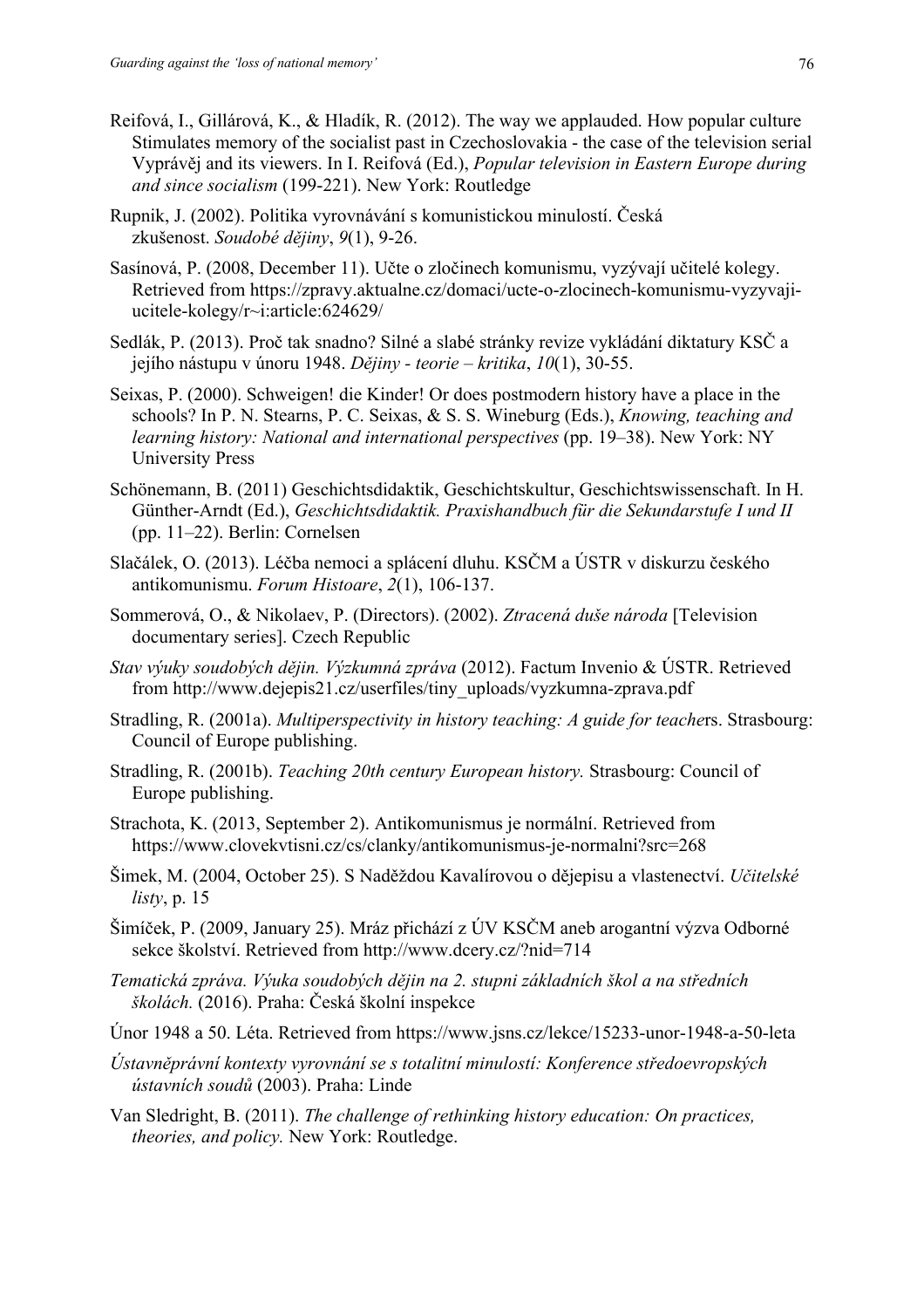- Reifová, I., Gillárová, K., & Hladík, R. (2012). The way we applauded. How popular culture Stimulates memory of the socialist past in Czechoslovakia - the case of the television serial Vyprávěj and its viewers. In I. Reifová (Ed.), *Popular television in Eastern Europe during and since socialism* (199-221). New York: Routledge
- Rupnik, J. (2002). Politika vyrovnávání s komunistickou minulostí. Česká zkušenost. *Soudobé dějiny*, *9*(1), 9-26.
- Sasínová, P. (2008, December 11). Učte o zločinech komunismu, vyzývají učitelé kolegy. Retrieved from https://zpravy.aktualne.cz/domaci/ucte-o-zlocinech-komunismu-vyzyvajiucitele-kolegy/r~i:article:624629/
- Sedlák, P. (2013). Proč tak snadno? Silné a slabé stránky revize vykládání diktatury KSČ a jejího nástupu v únoru 1948. *Dějiny - teorie – kritika*, *10*(1), 30-55.
- Seixas, P. (2000). Schweigen! die Kinder! Or does postmodern history have a place in the schools? In P. N. Stearns, P. C. Seixas, & S. S. Wineburg (Eds.), *Knowing, teaching and learning history: National and international perspectives* (pp. 19‒38). New York: NY University Press
- Schönemann, B. (2011) Geschichtsdidaktik, Geschichtskultur, Geschichtswissenschaft. In H. Günther-Arndt (Ed.), *Geschichtsdidaktik. Praxishandbuch für die Sekundarstufe I und II* (pp. 11‒22). Berlin: Cornelsen
- Slačálek, O. (2013). Léčba nemoci a splácení dluhu. KSČM a ÚSTR v diskurzu českého antikomunismu. *Forum Histoare*, *2*(1), 106-137.
- Sommerová, O., & Nikolaev, P. (Directors). (2002). *Ztracená duše národa* [Television documentary series]. Czech Republic
- *Stav výuky soudobých dějin. Výzkumná zpráva* (2012). Factum Invenio & ÚSTR. Retrieved from http://www.dejepis21.cz/userfiles/tiny\_uploads/vyzkumna-zprava.pdf
- Stradling, R. (2001a). *Multiperspectivity in history teaching: A guide for teache*rs. Strasbourg: Council of Europe publishing.
- Stradling, R. (2001b). *Teaching 20th century European history.* Strasbourg: Council of Europe publishing.
- Strachota, K. (2013, September 2). Antikomunismus je normální. Retrieved from https://www.clovekvtisni.cz/cs/clanky/antikomunismus-je-normalni?src=268
- Šimek, M. (2004, October 25). S Naděždou Kavalírovou o dějepisu a vlastenectví. *Učitelské listy*, p. 15
- Šimíček, P. (2009, January 25). Mráz přichází z ÚV KSČM aneb arogantní výzva Odborné sekce školství. Retrieved from http://www.dcery.cz/?nid=714
- *Tematická zpráva. Výuka soudobých dějin na 2. stupni základních škol a na středních školách.* (2016). Praha: Česká školní inspekce
- Únor 1948 a 50. Léta. Retrieved from https://www.jsns.cz/lekce/15233-unor-1948-a-50-leta
- *Ústavněprávní kontexty vyrovnání se s totalitní minulostí: Konference středoevropských ústavních soudů* (2003). Praha: Linde
- Van Sledright, B. (2011). *The challenge of rethinking history education: On practices, theories, and policy.* New York: Routledge.